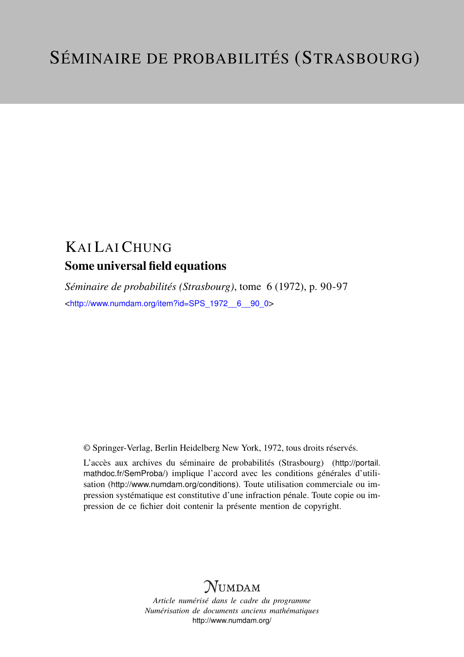## KAI LAI CHUNG Some universal field equations

*Séminaire de probabilités (Strasbourg)*, tome 6 (1972), p. 90-97 <[http://www.numdam.org/item?id=SPS\\_1972\\_\\_6\\_\\_90\\_0](http://www.numdam.org/item?id=SPS_1972__6__90_0)>

© Springer-Verlag, Berlin Heidelberg New York, 1972, tous droits réservés.

L'accès aux archives du séminaire de probabilités (Strasbourg) ([http://portail.](http://portail.mathdoc.fr/SemProba/) [mathdoc.fr/SemProba/](http://portail.mathdoc.fr/SemProba/)) implique l'accord avec les conditions générales d'utilisation (<http://www.numdam.org/conditions>). Toute utilisation commerciale ou impression systématique est constitutive d'une infraction pénale. Toute copie ou impression de ce fichier doit contenir la présente mention de copyright.

## **NUMDAM**

*Article numérisé dans le cadre du programme Numérisation de documents anciens mathématiques* <http://www.numdam.org/>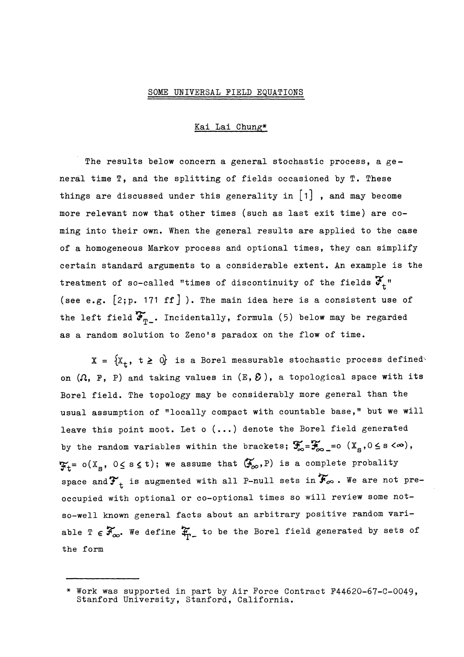## SOME UNIVERSAL FIELD EQUATIONS

Kai Lai Chung\*

The results below concern a general stochastic process, a general time T, and the splitting of fields occasioned by T. These things are discussed under this generality in  $\begin{bmatrix} 1 \end{bmatrix}$  , and may become more relevant now that other times (such as last exit time) are coming into their own. When the general results are applied to the case of a homogeneous Markov process and optional times, they can simplify certain standard arguments to a considerable extent. An example is the treatment of so-called "times of discontinuity of the fields  $\mathfrak{F}_{t}$ " (see e.g.  $[2; p. 171 \text{ ff}]$ ). The main idea here is a consistent use of the left field  $\mathfrak{F}_{m}$ . Incidentally, formula (5) below may be regarded as a random solution to Zeno's paradox on the flow of time.

 $X = \{X_t, t \ge 0\}$  is a Borel measurable stochastic process defined on  $(\Omega, F, P)$  and taking values in  $(E, \mathcal{E})$ , a topological space with its Borel field. The topology may be considerably more general than the usual assumption of "locally compact with countable base," but we will leave this point moot. Let o (...) denote the Borel field generated by the random variables within the brackets;  $\mathcal{F}_{\infty} = \mathcal{F}_{\infty} = 0$   $(X_{\infty}, 0 \le s < \infty)$ ,  $\mathfrak{F}_{t}$ =  $o(X_{s}, 0 \leq s \leq t)$ ; we assume that  $(\mathfrak{F}_{\infty}, P)$  is a complete probality space and  $\mathbf{F}_{t}$  is augmented with all P-null sets in  $\mathbf{\widetilde{F}}_{\infty}$ . We are not preoccupied with optional or co-optional times so will review some notso-well known general facts about an arbitrary positive random variable  $T \in \mathcal{F}_{\infty}$ . We define  $\mathfrak{X}_{\Gamma-}$  to be the Borel field generated by sets of the form

<sup>\*</sup> Work was supported in part by Air Force Contract F44620-67-C-0049, Stanford University, Stanford, California.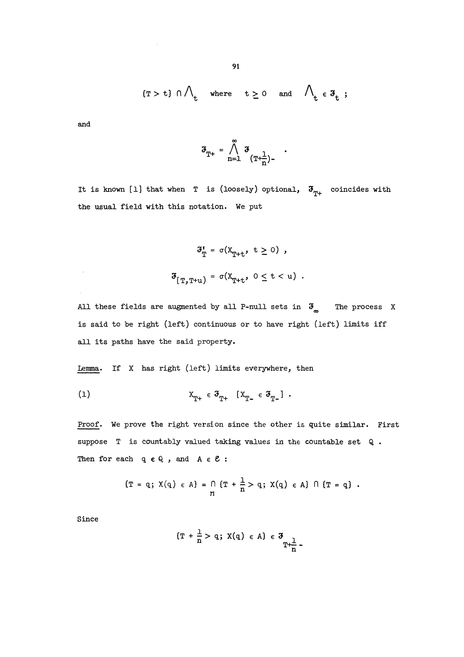$$
\text{$(T > t)$} \cap \bigwedge\nolimits_t \quad \text{where} \quad t \geq 0 \quad \text{and} \quad \bigwedge\nolimits_t \, \in \, \mathfrak{F}_t$ ;}
$$

and

,

$$
\mathfrak{F}_{T^+} = \bigwedge_{n=1}^{\infty} \mathfrak{F}_{(T^+\frac{1}{n})^-} \quad .
$$

It is known [1] that when T is (loosely) optional,  $\mathfrak{F}_{m_{+}}$  coincides with the usual field with this notation. We put

$$
\mathfrak{F}_{\mathbb{T}}^{\mathbf{f}} = \sigma(X_{\mathbb{T}+\mathbf{t}}, \ \mathbf{t} \ge 0) ,
$$
  

$$
\mathfrak{F}_{[\mathbb{T}, \mathbb{T}+\mathbf{u})} = \sigma(X_{\mathbb{T}+\mathbf{t}}, \ 0 \le \mathbf{t} < \mathbf{u}) .
$$

All these fields are augmented by all P-null sets in  $\mathfrak{F}_{\infty}$  The process X is said to be right (left) continuous or to have right (left) limits iff all its paths have the said property.

Lemma. If X has right (left) limits everywhere, then

$$
\mathbf{x}_{\mathbf{T}^+} \in \mathbf{F}_{\mathbf{T}^+} \quad [\mathbf{x}_{\mathbf{T}^-} \in \mathbf{F}_{\mathbf{T}^-}] \ .
$$

Proof. We prove the right version since the other is quite similar. First suppose T is countably valued taking values in the countable set Q. Then for each  $q \in Q$ , and  $A \in \mathcal{C}$ :

$$
\{T = q; X(q) \in A\} = \bigcap_{n} \{T + \frac{1}{n} > q; X(q) \in A\} \cap \{T = q\}.
$$

Since

$$
\{T + \frac{1}{n} > q; X(q) \in A\} \in \mathfrak{F}_{T + \frac{1}{n}}.
$$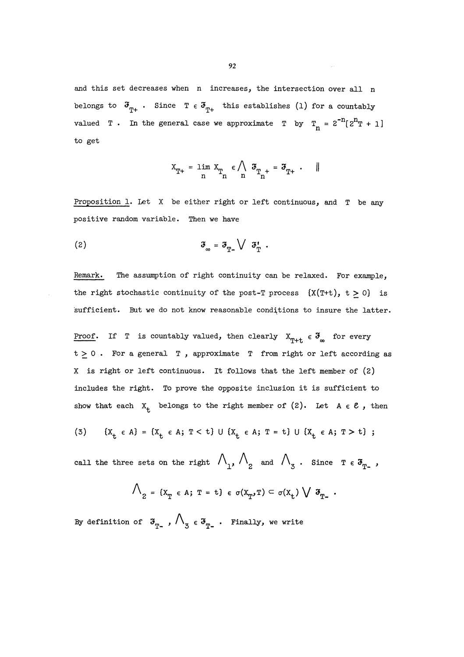and this set decreases when n increases, the intersection over all n belongs to  $\mathfrak{F}_{m+}$ . Since  $T \in \mathfrak{F}_{m+}$  this establishes (1) for a countably valued T . In the general case we approximate T by  $T_n = 2^{-n} [2^n T + 1]$ to get

$$
x_{T^+} = \lim_n\,x_{T_n} \,\,\epsilon \bigwedge_n\,\, \mathfrak{F}_{T_n^+} = \mathfrak{F}_{T^+}\,\,\cdot\,\quad \|
$$

Proposition 1. Let X be either right or left continuous, and T be any positive random variable. Then we have

$$
\mathfrak{F}_{_{\infty}} = \mathfrak{F}_{_{\mathrm{T}}} \setminus \mathfrak{F}_{_{\mathrm{T}}}.
$$

Remark. The assumption of right continuity can be relaxed. For example, the right stochastic continuity of the post-T process  $\{X(T+t), t \geq 0\}$  is sufficient. But we do not know reasonable conditions to insure the latter.

Proof. If T is countably valued, then clearly  $X_{\eta_{+}} \in \mathfrak{F}_{\infty}$  for every  $t \geq 0$ . For a general T, approximate T from right or left according as X is right or left continuous. It follows that the left member of (2) includes the right. To prove the opposite inclusion it is sufficient to show that each  $X_t$  belongs to the right member of (2). Let  $A \in \mathcal{E}$ , then

(3) 
$$
\{X_t \in A\} = \{X_t \in A; T < t\} \cup \{X_t \in A; T = t\} \cup \{X_t \in A; T > t\};
$$

call the three sets on the right  $\bigwedge_{1}$ ,  $\bigwedge_{2}$  and  $\bigwedge_{3}$ . Since  $T \in \mathfrak{F}_{T}$ ,

$$
\bigwedge_{2} = \{x_{T} \in A; T = t\} \in \sigma(x_{T}, T) \subset \sigma(x_{t}) \bigvee \mathfrak{F}_{T}.
$$

By definition of  $\mathfrak{s}_{_{T_-}}$ ,  $\bigwedge_{\mathfrak{Z}} \epsilon \mathfrak{s}_{_{T_-}}$ . Finally, we write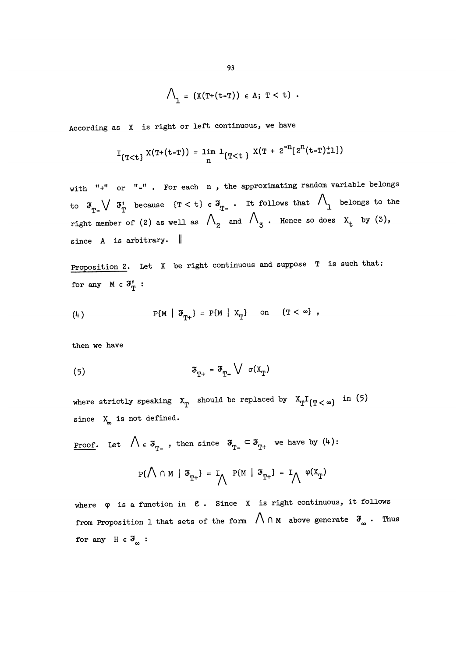$$
\bigwedge\nolimits_{1} = \{X(T^{+}(t-T)) \in A; T < t\} .
$$

According as X is right or left continuous, we have

$$
I_{\{T
$$

with "+" or "-". For each n, the approximating random variable belongs to  $\mathfrak{F}_{T_{-}}\setminus\mathfrak{F}_{T_{-}}'$  because  $(T < t) \in \mathfrak{F}_{T_{-}}$ . It follows that  $\bigwedge_{1}$  belongs to the right member of (2) as well as  $\Lambda$ <sup>2</sup> and  $\Lambda$ <sub>3</sub>. Hence so does  $\mathbf{x}_{t}$  by (3), since A is arbitrary.  $\|\cdot\|$ 

Proposition 2. Let X be right continuous and suppose T is such that: for any  $M \in \mathfrak{F}_{\mathbb{T}}'$ :

$$
\text{(4)} \quad \text{P(M} \mid \mathfrak{F}_{\text{T}^+} \text{)} = \text{P(M} \mid X_{\text{T}} \text{)} \quad \text{on} \quad \text{{\{T < \infty\}}},
$$

then we have

$$
\mathfrak{F}_{\mathbf{T}^+} = \mathfrak{F}_{\mathbf{T}^-} \bigvee \sigma(\mathbf{X}_{\mathbf{T}})
$$

where strictly speaking  $x_T$  should be replaced by  $x_T I_{T<\infty}$  in (5) since  $X_{\infty}$  is not defined.

<u>Proof</u>. Let  $\bigwedge \varepsilon \mathfrak{F}_{T^-}$ , then since  $\mathfrak{F}_{T^-} \subset \mathfrak{F}_{T^+}$  we have by (4):

$$
P\{\bigwedge \cap M \mid \mathfrak{F}_{T^+}\} = I_{\bigwedge} P\{M \mid \mathfrak{F}_{T^+}\} = I_{\bigwedge} \varphi(X_T)
$$

where  $\varphi$  is a function in  $\ell$ . Since X is right continuous, it follows from Proposition 1 that sets of the form  $\bigwedge \cap M$  above generate  $\mathfrak{F}_{\infty}$ . Thus for any  $H \in \mathfrak{F}_{\infty}$ :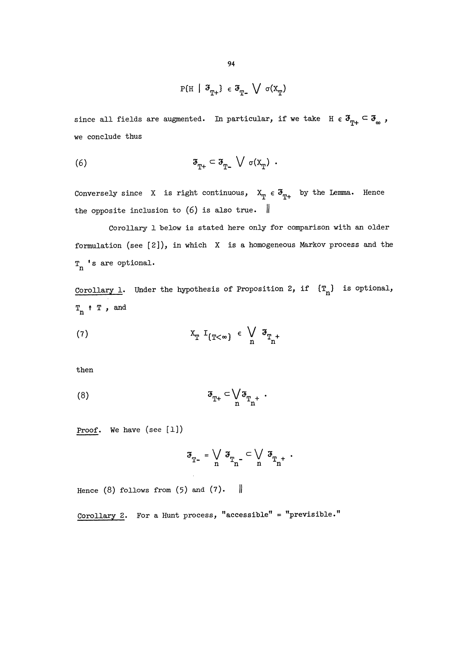$$
P\{H \mid \mathfrak{F}_{T^+}\} \in \mathfrak{F}_{T^-} \bigvee \sigma(X_T)
$$

since all fields are augmented. In particular, if we take  $H \in \mathfrak{F}_{m_+} \subset \mathfrak{F}_{\infty}$ , we conclude thus

(6) 
$$
\mathfrak{F}_{T^+} \subset \mathfrak{F}_{T^-} \bigvee \sigma(X_T) .
$$

Conversely since X is right continuous,  $X_T \in \mathfrak{F}_{T^+}$  by the Lemma. Hence the opposite inclusion to  $(6)$  is also true.  $\parallel$ 

Corollary 1 below is stated here only for comparison with an older formulation (see [2]), in which X is a homogeneous Markov process and the  $T_n$  's are optional.

Corollary 1. Under the hypothesis of Proposition 2, if  $(T_n)$  is optional,  $T_n$   $\uparrow$   $T$  , and

$$
(7) \t\t x_T I_{T<\infty} \t\t \in \bigvee_n \t x_{T_n^+}
$$

then

$$
\mathfrak{F}_{\mathbf{T}^+} \subset \bigvee_{\mathbf{n}} \mathfrak{F}_{\mathbf{T}_{\mathbf{n}^+}}
$$

Proof. We have (see [1])

$$
\mathfrak{F}_{_{T-}} = \bigvee_n \mathfrak{F}_{_{T_n^-}} \subset \bigvee_n \mathfrak{F}_{_{T_n^+}} \ .
$$

Hence (8) follows from  $(5)$  and  $(7)$ .

Corollary 2. For a Hunt process, "accessible" = "previsible."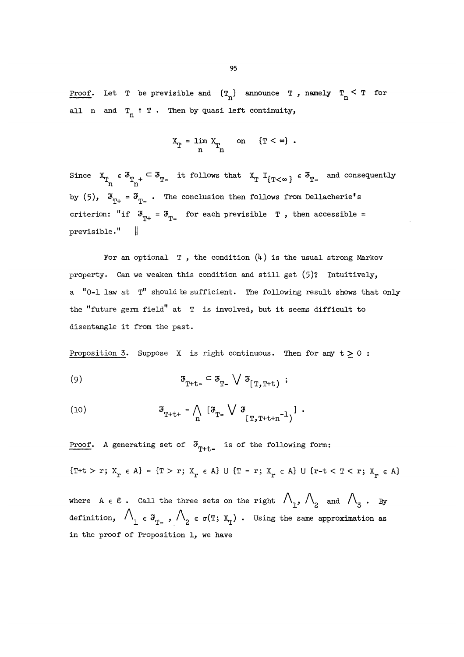<u>Proof</u>. Let T be previsible and  $(T_n)$  announce T, namely  $T_n \leq T$  for all n and  $T_n$   $\uparrow$  T. Then by quasi left continuity,

$$
X_T = \lim_{n} X_T \qquad \text{on} \qquad \{T < \infty\}.
$$

Since  $X_{T_n} \in \mathfrak{F}_{T_{n^+}} \subset \mathfrak{F}_{T_{-}}$  it follows that  $X_T$   $I_{\{T<\infty\}} \in \mathfrak{F}_{T_{-}}$  and consequently by (5),  $\mathfrak{F}_{\mathfrak{p}_+} = \mathfrak{F}_{\mathfrak{p}_-}$ . The conclusion then follows from Dellacherie's criterion: "if  $\mathfrak{F}_{m_+} = \mathfrak{F}_{m_-}$  for each previsible T, then accessible =  $previsible."$   $\parallel$ 

For an optional  $T$ , the condition  $(4)$  is the usual strong Markov property. Can we weaken this condition and still get (5)? Intuitively, a "0-1 law at T" should be sufficient. The following result shows that only the "future germ field" at T is involved, but it seems difficult to disentangle it from the past.

Proposition 3. Suppose X is right continuous. Then for any  $t \geq 0$ :

$$
\mathfrak{s}_{\mathbf{T}+\mathbf{t}^-} \subset \mathfrak{s}_{\mathbf{T}^-} \setminus \mathfrak{s}_{\mathbf{T},\mathbf{T}^+\mathbf{t}} ;
$$

(10) 
$$
\mathfrak{F}_{T+t+} = \bigwedge_{n} \left[ \mathfrak{F}_{T-} \bigvee \mathfrak{F}_{T,T+t+n^{-1}} \right] .
$$

Proof. A generating set of  $\mathfrak{s}_{\text{r+t-}}$  is of the following form:  $\{T+t > r; X_r \in A\} = \{T > r; X_r \in A\} \cup \{T = r; X_r \in A\} \cup \{r-t < T < r; X_r \in A\}$ where A  $\epsilon$  C . Call the three sets on the right  $\bigwedge_{i=1}^n \bigwedge_{i=2}^n$  and  $\bigwedge_{i=3}^n$ . By definition,  $\bigwedge_{1}^{\mathcal{B}} \in \mathcal{F}_{T^-}$ ,  $\bigwedge_{2}^{\mathcal{B}} \in \sigma(T; X_T)$ . Using the same approximation as in the proof of Proposition 1, we have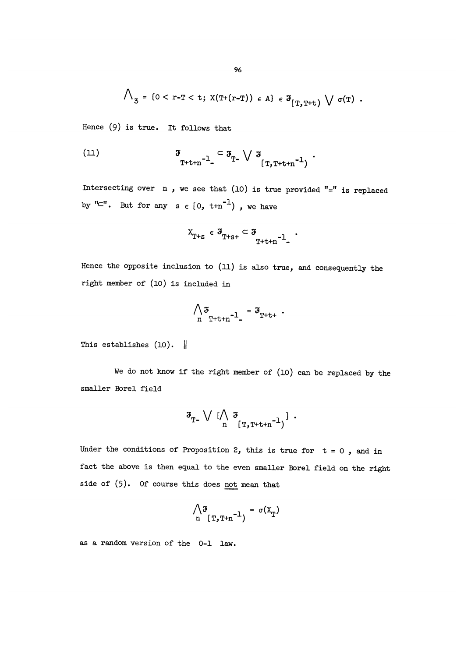$$
\bigwedge\nolimits_{\mathfrak{Z}} = \{ 0 < r - T < t; \ X(T+(r-T)) \in A \} \in \mathfrak{F}_{[T,T+t)} \ \bigvee \ \sigma(T) \ .
$$

Hence (9) is true. It follows that

$$
\mathfrak{F}_{\mathbb{T}+\mathfrak{t}+n^{-1}} \subset \mathfrak{F}_{\mathbb{T}^{\mathbb{L}}} \vee \mathfrak{F}_{\mathbb{T},\mathbb{T}+\mathfrak{t}+n^{-1}}.
$$

Intersecting over  $n$ , we see that (10) is true provided "=" is replaced by " $\subset$ ". But for any  $s \in [0, t+n^{-1})$ , we have

$$
x_{T+s}\;\in\; \mathfrak{F}_{T+s+}\;\subset\; \mathfrak{F}_{T+t+n^{-1}\_\sim}\;\;.
$$

Hence the opposite inclusion to (ll) is also true, and consequently the right member of (10) is included in

$$
\bigwedge_{n} \mathfrak{F}_{T+t+n} - 1 = \mathfrak{F}_{T+t+}.
$$

This establishes  $(10)$ .

We do not know if the right member of (10) can be replaced by the smaller Borel field

$$
\mathfrak{F}_{\mathbb{T}^-} \vee \big(\bigwedge_{n} \mathfrak{F}_{[\mathbb{T}, \mathbb{T}^{\pm t+n^{-1}}]} \big) \ .
$$

Under the conditions of Proposition 2, this is true for  $t = 0$ , and in fact the above is then equal to the even smaller Borel field on the right side of (5). Of course this does not mean that

$$
\bigwedge_{n} \mathfrak{F}_{T,\mathbb{T}+n^{-1}} = \sigma(X_{\mathbb{T}})
$$

as a random version of the 0-1 law.